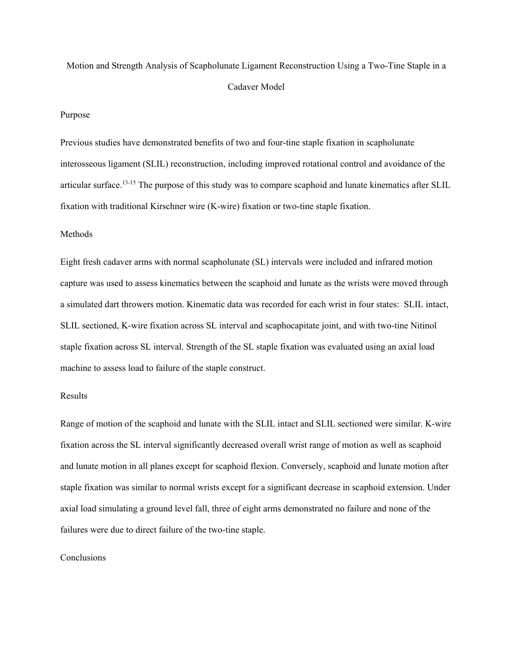# Motion and Strength Analysis of Scapholunate Ligament Reconstruction Using a Two-Tine Staple in a Cadaver Model

#### Purpose

Previous studies have demonstrated benefits of two and four-tine staple fixation in scapholunate interosseous ligament (SLIL) reconstruction, including improved rotational control and avoidance of the articular surface.13-15 The purpose of this study was to compare scaphoid and lunate kinematics after SLIL fixation with traditional Kirschner wire (K-wire) fixation or two-tine staple fixation.

## Methods

Eight fresh cadaver arms with normal scapholunate (SL) intervals were included and infrared motion capture was used to assess kinematics between the scaphoid and lunate as the wrists were moved through a simulated dart throwers motion. Kinematic data was recorded for each wrist in four states: SLIL intact, SLIL sectioned, K-wire fixation across SL interval and scaphocapitate joint, and with two-tine Nitinol staple fixation across SL interval. Strength of the SL staple fixation was evaluated using an axial load machine to assess load to failure of the staple construct.

## Results

Range of motion of the scaphoid and lunate with the SLIL intact and SLIL sectioned were similar. K-wire fixation across the SL interval significantly decreased overall wrist range of motion as well as scaphoid and lunate motion in all planes except for scaphoid flexion. Conversely, scaphoid and lunate motion after staple fixation was similar to normal wrists except for a significant decrease in scaphoid extension. Under axial load simulating a ground level fall, three of eight arms demonstrated no failure and none of the failures were due to direct failure of the two-tine staple.

### Conclusions